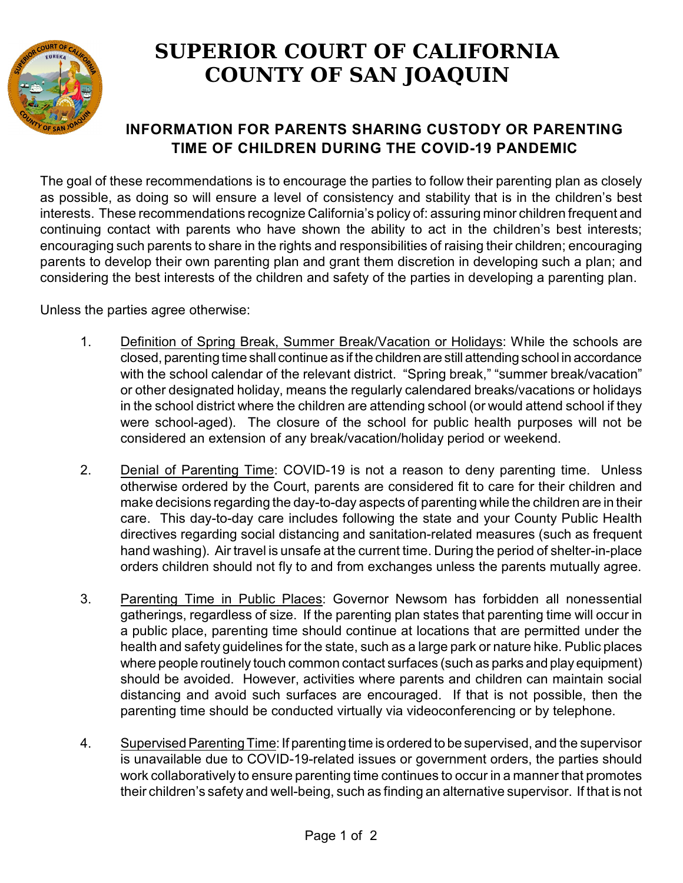

## **SUPERIOR COURT OF CALIFORNIA COUNTY OF SAN JOAQUIN**

## **INFORMATION FOR PARENTS SHARING CUSTODY OR PARENTING TIME OF CHILDREN DURING THE COVID-19 PANDEMIC**

The goal of these recommendations is to encourage the parties to follow their parenting plan as closely as possible, as doing so will ensure a level of consistency and stability that is in the children's best interests. These recommendations recognize California's policy of: assuring minor children frequent and continuing contact with parents who have shown the ability to act in the children's best interests; encouraging such parents to share in the rights and responsibilities of raising their children; encouraging parents to develop their own parenting plan and grant them discretion in developing such a plan; and considering the best interests of the children and safety of the parties in developing a parenting plan.

Unless the parties agree otherwise:

- 1. Definition of Spring Break, Summer Break/Vacation or Holidays: While the schools are closed, parenting time shall continue as if the children are still attending school in accordance with the school calendar of the relevant district. "Spring break," "summer break/vacation" or other designated holiday, means the regularly calendared breaks/vacations or holidays in the school district where the children are attending school (or would attend school if they were school-aged). The closure of the school for public health purposes will not be considered an extension of any break/vacation/holiday period or weekend.
- 2. Denial of Parenting Time: COVID-19 is not a reason to deny parenting time. Unless otherwise ordered by the Court, parents are considered fit to care for their children and make decisions regarding the day-to-day aspects of parenting while the children are in their care. This day-to-day care includes following the state and your County Public Health directives regarding social distancing and sanitation-related measures (such as frequent hand washing). Air travel is unsafe at the current time. During the period of shelter-in-place orders children should not fly to and from exchanges unless the parents mutually agree.
- 3. Parenting Time in Public Places: Governor Newsom has forbidden all nonessential gatherings, regardless of size. If the parenting plan states that parenting time will occur in a public place, parenting time should continue at locations that are permitted under the health and safety guidelines for the state, such as a large park or nature hike. Public places where people routinely touch common contact surfaces (such as parks and playequipment) should be avoided. However, activities where parents and children can maintain social distancing and avoid such surfaces are encouraged. If that is not possible, then the parenting time should be conducted virtually via videoconferencing or by telephone.
- 4. SupervisedParentingTime: If parentingtime is ordered to be supervised, and the supervisor is unavailable due to COVID-19-related issues or government orders, the parties should work collaboratively to ensure parenting time continues to occur in a manner that promotes their children's safety and well-being, such as finding an alternative supervisor. If that is not